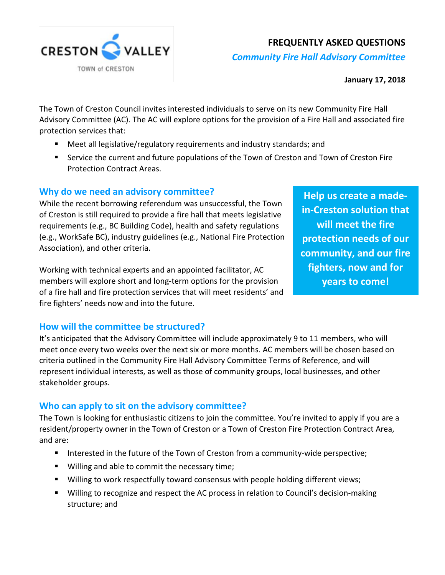

## **FREQUENTLY ASKED QUESTIONS**

*Community Fire Hall Advisory Committee* 

**January 17, 2018**

The Town of Creston Council invites interested individuals to serve on its new Community Fire Hall Advisory Committee (AC). The AC will explore options for the provision of a Fire Hall and associated fire protection services that:

- Meet all legislative/regulatory requirements and industry standards; and
- Service the current and future populations of the Town of Creston and Town of Creston Fire Protection Contract Areas.

### **Why do we need an advisory committee?**

While the recent borrowing referendum was unsuccessful, the Town of Creston is still required to provide a fire hall that meets legislative requirements (e.g., BC Building Code), health and safety regulations (e.g., WorkSafe BC), industry guidelines (e.g., National Fire Protection Association), and other criteria.

Working with technical experts and an appointed facilitator, AC members will explore short and long-term options for the provision of a fire hall and fire protection services that will meet residents' and fire fighters' needs now and into the future.

**Help us create a madein-Creston solution that will meet the fire protection needs of our community, and our fire fighters, now and for years to come!** 

### **How will the committee be structured?**

It's anticipated that the Advisory Committee will include approximately 9 to 11 members, who will meet once every two weeks over the next six or more months. AC members will be chosen based on criteria outlined in the Community Fire Hall Advisory Committee Terms of Reference, and will represent individual interests, as well as those of community groups, local businesses, and other stakeholder groups.

### **Who can apply to sit on the advisory committee?**

The Town is looking for enthusiastic citizens to join the committee. You're invited to apply if you are a resident/property owner in the Town of Creston or a Town of Creston Fire Protection Contract Area, and are:

- Interested in the future of the Town of Creston from a community-wide perspective;
- **Willing and able to commit the necessary time;**
- Willing to work respectfully toward consensus with people holding different views;
- **Willing to recognize and respect the AC process in relation to Council's decision-making** structure; and